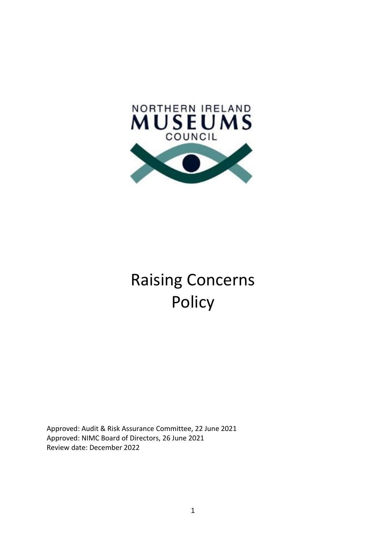

# Raising Concerns Policy

Approved: Audit & Risk Assurance Committee, 22 June 2021 Approved: NIMC Board of Directors, 26 June 2021 Review date: December 2022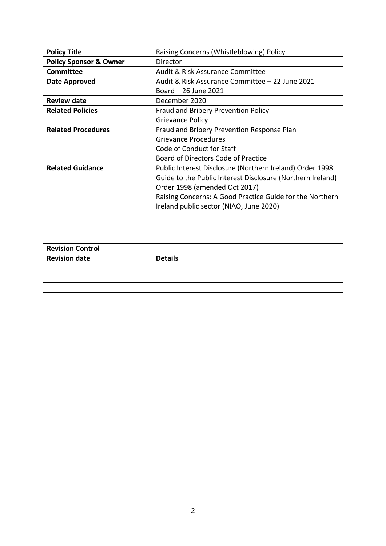| <b>Policy Title</b>               | Raising Concerns (Whistleblowing) Policy                   |  |
|-----------------------------------|------------------------------------------------------------|--|
| <b>Policy Sponsor &amp; Owner</b> | Director                                                   |  |
| <b>Committee</b>                  | Audit & Risk Assurance Committee                           |  |
| Date Approved                     | Audit & Risk Assurance Committee - 22 June 2021            |  |
|                                   | Board - 26 June 2021                                       |  |
| <b>Review date</b>                | December 2020                                              |  |
| <b>Related Policies</b>           | Fraud and Bribery Prevention Policy                        |  |
|                                   | Grievance Policy                                           |  |
| <b>Related Procedures</b>         | Fraud and Bribery Prevention Response Plan                 |  |
|                                   | Grievance Procedures                                       |  |
|                                   | Code of Conduct for Staff                                  |  |
|                                   | Board of Directors Code of Practice                        |  |
| <b>Related Guidance</b>           | Public Interest Disclosure (Northern Ireland) Order 1998   |  |
|                                   | Guide to the Public Interest Disclosure (Northern Ireland) |  |
|                                   | Order 1998 (amended Oct 2017)                              |  |
|                                   | Raising Concerns: A Good Practice Guide for the Northern   |  |
|                                   | Ireland public sector (NIAO, June 2020)                    |  |
|                                   |                                                            |  |

| <b>Revision Control</b> |                |  |
|-------------------------|----------------|--|
| <b>Revision date</b>    | <b>Details</b> |  |
|                         |                |  |
|                         |                |  |
|                         |                |  |
|                         |                |  |
|                         |                |  |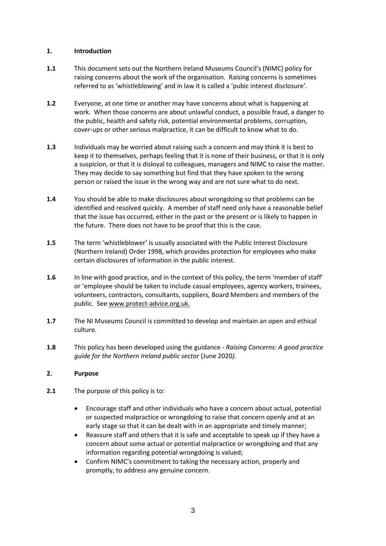## **1. Introduction**

- **1.1** This document sets out the Northern Ireland Museums Council's (NIMC) policy for raising concerns about the work of the organisation. Raising concerns is sometimes referred to as 'whistleblowing' and in law it is called a 'pubic interest disclosure'.
- **1.2** Everyone, at one time or another may have concerns about what is happening at work. When those concerns are about unlawful conduct, a possible fraud, a danger to the public, health and safety risk, potential environmental problems, corruption, cover-ups or other serious malpractice, it can be difficult to know what to do.
- **1.3** Individuals may be worried about raising such a concern and may think it is best to keep it to themselves, perhaps feeling that it is none of their business, or that it is only a suspicion, or that it is disloyal to colleagues, managers and NIMC to raise the matter. They may decide to say something but find that they have spoken to the wrong person or raised the issue in the wrong way and are not sure what to do next.
- **1.4** You should be able to make disclosures about wrongdoing so that problems can be identified and resolved quickly. A member of staff need only have a reasonable belief that the issue has occurred, either in the past or the present or is likely to happen in the future. There does not have to be proof that this is the case.
- **1.5** The term 'whistleblower' is usually associated with the Public Interest Disclosure (Northern Ireland) Order 1998, which provides protection for employees who make certain disclosures of information in the public interest.
- **1.6** In line with good practice, and in the context of this policy, the term 'member of staff' or 'employee should be taken to include casual employees, agency workers, trainees, volunteers, contractors, consultants, suppliers, Board Members and members of the public. See www.protect-advice.org.uk.
- **1.7** The NI Museums Council is committed to develop and maintain an open and ethical culture.
- **1.8** This policy has been developed using the guidance *Raising Concerns: A good practice guide for the Northern Ireland public sector* (June 2020*).*

## **2. Purpose**

- **2.1** The purpose of this policy is to:
	- Encourage staff and other individuals who have a concern about actual, potential or suspected malpractice or wrongdoing to raise that concern openly and at an early stage so that it can be dealt with in an appropriate and timely manner;
	- Reassure staff and others that it is safe and acceptable to speak up if they have a concern about some actual or potential malpractice or wrongdoing and that any information regarding potential wrongdoing is valued;
	- Confirm NIMC's commitment to taking the necessary action, properly and promptly, to address any genuine concern.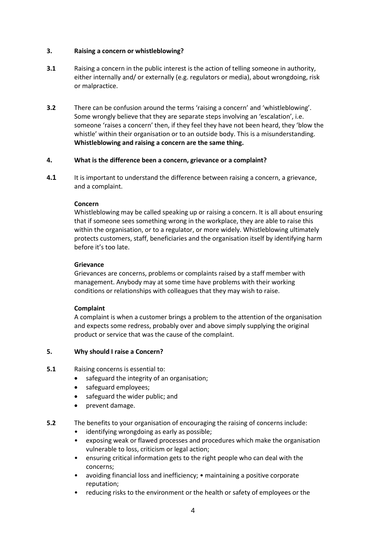## **3. Raising a concern or whistleblowing?**

- **3.1** Raising a concern in the public interest is the action of telling someone in authority, either internally and/ or externally (e.g. regulators or media), about wrongdoing, risk or malpractice.
- **3.2** There can be confusion around the terms 'raising a concern' and 'whistleblowing'. Some wrongly believe that they are separate steps involving an 'escalation', i.e. someone 'raises a concern' then, if they feel they have not been heard, they 'blow the whistle' within their organisation or to an outside body. This is a misunderstanding. **Whistleblowing and raising a concern are the same thing.**

## **4. What is the difference been a concern, grievance or a complaint?**

**4.1** It is important to understand the difference between raising a concern, a grievance, and a complaint.

## **Concern**

Whistleblowing may be called speaking up or raising a concern. It is all about ensuring that if someone sees something wrong in the workplace, they are able to raise this within the organisation, or to a regulator, or more widely. Whistleblowing ultimately protects customers, staff, beneficiaries and the organisation itself by identifying harm before it's too late.

## **Grievance**

Grievances are concerns, problems or complaints raised by a staff member with management. Anybody may at some time have problems with their working conditions or relationships with colleagues that they may wish to raise.

## **Complaint**

A complaint is when a customer brings a problem to the attention of the organisation and expects some redress, probably over and above simply supplying the original product or service that was the cause of the complaint.

## **5. Why should I raise a Concern?**

## **5.1** Raising concerns is essential to:

- safeguard the integrity of an organisation;
- safeguard employees:
- safeguard the wider public; and
- prevent damage.
- **5.2** The benefits to your organisation of encouraging the raising of concerns include:
	- identifying wrongdoing as early as possible;
	- exposing weak or flawed processes and procedures which make the organisation vulnerable to loss, criticism or legal action;
	- ensuring critical information gets to the right people who can deal with the concerns;
	- avoiding financial loss and inefficiency; maintaining a positive corporate reputation;
	- reducing risks to the environment or the health or safety of employees or the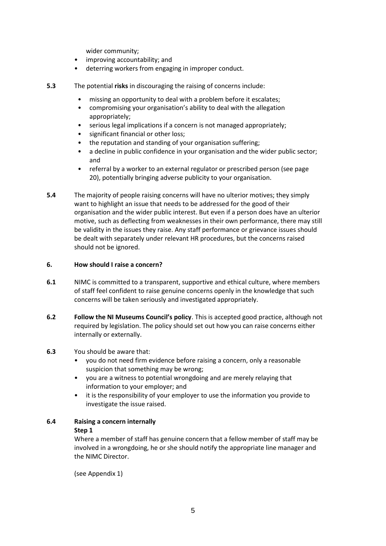wider community;

- improving accountability; and
- deterring workers from engaging in improper conduct.
- **5.3** The potential **risks** in discouraging the raising of concerns include:
	- missing an opportunity to deal with a problem before it escalates;
	- compromising your organisation's ability to deal with the allegation appropriately;
	- serious legal implications if a concern is not managed appropriately;
	- significant financial or other loss;
	- the reputation and standing of your organisation suffering;
	- a decline in public confidence in your organisation and the wider public sector; and
	- referral by a worker to an external regulator or prescribed person (see page 20), potentially bringing adverse publicity to your organisation.
- **5.4** The majority of people raising concerns will have no ulterior motives; they simply want to highlight an issue that needs to be addressed for the good of their organisation and the wider public interest. But even if a person does have an ulterior motive, such as deflecting from weaknesses in their own performance, there may still be validity in the issues they raise. Any staff performance or grievance issues should be dealt with separately under relevant HR procedures, but the concerns raised should not be ignored.

## **6. How should I raise a concern?**

- **6.1** NIMC is committed to a transparent, supportive and ethical culture, where members of staff feel confident to raise genuine concerns openly in the knowledge that such concerns will be taken seriously and investigated appropriately.
- **6.2 Follow the NI Museums Council's policy**. This is accepted good practice, although not required by legislation. The policy should set out how you can raise concerns either internally or externally.

## **6.3** You should be aware that:

- you do not need firm evidence before raising a concern, only a reasonable suspicion that something may be wrong;
- you are a witness to potential wrongdoing and are merely relaying that information to your employer; and
- it is the responsibility of your employer to use the information you provide to investigate the issue raised.

# **6.4 Raising a concern internally**

## **Step 1**

Where a member of staff has genuine concern that a fellow member of staff may be involved in a wrongdoing, he or she should notify the appropriate line manager and the NIMC Director.

(see Appendix 1)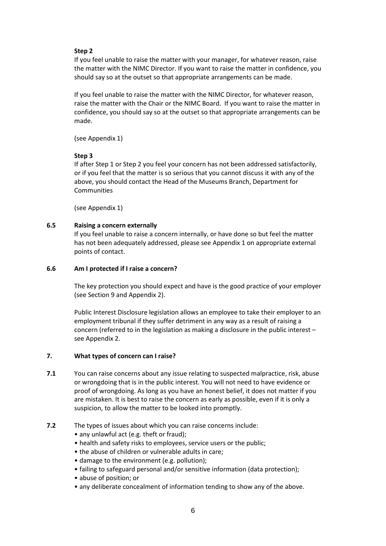## **Step 2**

If you feel unable to raise the matter with your manager, for whatever reason, raise the matter with the NIMC Director. If you want to raise the matter in confidence, you should say so at the outset so that appropriate arrangements can be made.

If you feel unable to raise the matter with the NIMC Director, for whatever reason, raise the matter with the Chair or the NIMC Board. If you want to raise the matter in confidence, you should say so at the outset so that appropriate arrangements can be made.

(see Appendix 1)

#### **Step 3**

If after Step 1 or Step 2 you feel your concern has not been addressed satisfactorily, or if you feel that the matter is so serious that you cannot discuss it with any of the above, you should contact the Head of the Museums Branch, Department for Communities

(see Appendix 1)

## **6.5 Raising a concern externally**

If you feel unable to raise a concern internally, or have done so but feel the matter has not been adequately addressed, please see Appendix 1 on appropriate external points of contact.

#### **6.6 Am I protected if I raise a concern?**

The key protection you should expect and have is the good practice of your employer (see Section 9 and Appendix 2).

Public Interest Disclosure legislation allows an employee to take their employer to an employment tribunal if they suffer detriment in any way as a result of raising a concern (referred to in the legislation as making a disclosure in the public interest – see Appendix 2.

## **7. What types of concern can I raise?**

- **7.1** You can raise concerns about any issue relating to suspected malpractice, risk, abuse or wrongdoing that is in the public interest. You will not need to have evidence or proof of wrongdoing. As long as you have an honest belief, it does not matter if you are mistaken. It is best to raise the concern as early as possible, even if it is only a suspicion, to allow the matter to be looked into promptly.
- **7.2** The types of issues about which you can raise concerns include:
	- any unlawful act (e.g. theft or fraud);
	- health and safety risks to employees, service users or the public;
	- the abuse of children or vulnerable adults in care;
	- damage to the environment (e.g. pollution);
	- failing to safeguard personal and/or sensitive information (data protection);
	- abuse of position; or
	- any deliberate concealment of information tending to show any of the above.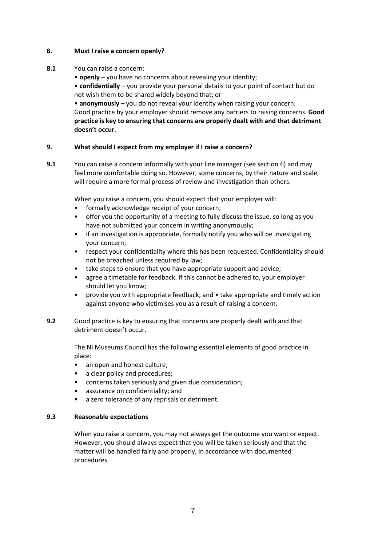## **8. Must I raise a concern openly?**

- **8.1** You can raise a concern:
	- **openly** you have no concerns about revealing your identity;

• **confidentially** – you provide your personal details to your point of contact but do not wish them to be shared widely beyond that; or

• **anonymously** – you do not reveal your identity when raising your concern. Good practice by your employer should remove any barriers to raising concerns. **Good practice is key to ensuring that concerns are properly dealt with and that detriment doesn't occur**.

## **9. What should I expect from my employer if I raise a concern?**

**9.1** You can raise a concern informally with your line manager (see section 6) and may feel more comfortable doing so. However, some concerns, by their nature and scale, will require a more formal process of review and investigation than others.

When you raise a concern, you should expect that your employer will:

- formally acknowledge receipt of your concern;
- offer you the opportunity of a meeting to fully discuss the issue, so long as you have not submitted your concern in writing anonymously;
- if an investigation is appropriate, formally notify you who will be investigating your concern;
- respect your confidentiality where this has been requested. Confidentiality should not be breached unless required by law;
- take steps to ensure that you have appropriate support and advice;
- agree a timetable for feedback. If this cannot be adhered to, your employer should let you know;
- provide you with appropriate feedback; and take appropriate and timely action against anyone who victimises you as a result of raising a concern.
- **9.2** Good practice is key to ensuring that concerns are properly dealt with and that detriment doesn't occur.

The NI Museums Council has the following essential elements of good practice in place:

- an open and honest culture;
- a clear policy and procedures;
- concerns taken seriously and given due consideration;
- assurance on confidentiality; and
- a zero tolerance of any reprisals or detriment.

## **9.3 Reasonable expectations**

When you raise a concern, you may not always get the outcome you want or expect. However, you should always expect that you will be taken seriously and that the matter will be handled fairly and properly, in accordance with documented procedures.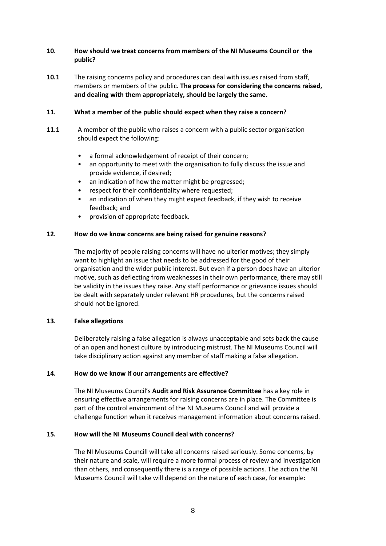## **10. How should we treat concerns from members of the NI Museums Council or the public?**

**10.1** The raising concerns policy and procedures can deal with issues raised from staff, members or members of the public. **The process for considering the concerns raised, and dealing with them appropriately, should be largely the same.**

## **11. What a member of the public should expect when they raise a concern?**

- **11.1** A member of the public who raises a concern with a public sector organisation should expect the following:
	- a formal acknowledgement of receipt of their concern;
	- an opportunity to meet with the organisation to fully discuss the issue and provide evidence, if desired;
	- an indication of how the matter might be progressed;
	- respect for their confidentiality where requested;
	- an indication of when they might expect feedback, if they wish to receive feedback; and
	- provision of appropriate feedback.

## **12. How do we know concerns are being raised for genuine reasons?**

The majority of people raising concerns will have no ulterior motives; they simply want to highlight an issue that needs to be addressed for the good of their organisation and the wider public interest. But even if a person does have an ulterior motive, such as deflecting from weaknesses in their own performance, there may still be validity in the issues they raise. Any staff performance or grievance issues should be dealt with separately under relevant HR procedures, but the concerns raised should not be ignored.

## **13. False allegations**

Deliberately raising a false allegation is always unacceptable and sets back the cause of an open and honest culture by introducing mistrust. The NI Museums Council will take disciplinary action against any member of staff making a false allegation.

## **14. How do we know if our arrangements are effective?**

The NI Museums Council's **Audit and Risk Assurance Committee** has a key role in ensuring effective arrangements for raising concerns are in place. The Committee is part of the control environment of the NI Museums Council and will provide a challenge function when it receives management information about concerns raised.

## **15. How will the NI Museums Council deal with concerns?**

The NI Museums Councill will take all concerns raised seriously. Some concerns, by their nature and scale, will require a more formal process of review and investigation than others, and consequently there is a range of possible actions. The action the NI Museums Council will take will depend on the nature of each case, for example: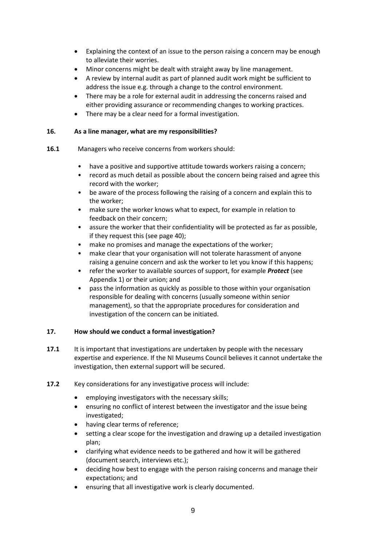- Explaining the context of an issue to the person raising a concern may be enough to alleviate their worries.
- Minor concerns might be dealt with straight away by line management.
- A review by internal audit as part of planned audit work might be sufficient to address the issue e.g. through a change to the control environment.
- There may be a role for external audit in addressing the concerns raised and either providing assurance or recommending changes to working practices.
- There may be a clear need for a formal investigation.

## **16. As a line manager, what are my responsibilities?**

- **16.1** Managers who receive concerns from workers should:
	- have a positive and supportive attitude towards workers raising a concern;
	- record as much detail as possible about the concern being raised and agree this record with the worker;
	- be aware of the process following the raising of a concern and explain this to the worker;
	- make sure the worker knows what to expect, for example in relation to feedback on their concern;
	- assure the worker that their confidentiality will be protected as far as possible, if they request this (see page 40);
	- make no promises and manage the expectations of the worker;
	- make clear that your organisation will not tolerate harassment of anyone raising a genuine concern and ask the worker to let you know if this happens;
	- refer the worker to available sources of support, for example *Protect* (see Appendix 1) or their union; and
	- pass the information as quickly as possible to those within your organisation responsible for dealing with concerns (usually someone within senior management), so that the appropriate procedures for consideration and investigation of the concern can be initiated.

## **17. How should we conduct a formal investigation?**

- **17.1** It is important that investigations are undertaken by people with the necessary expertise and experience. If the NI Museums Council believes it cannot undertake the investigation, then external support will be secured.
- **17.2** Key considerations for any investigative process will include:
	- employing investigators with the necessary skills;
	- ensuring no conflict of interest between the investigator and the issue being investigated;
	- having clear terms of reference;
	- setting a clear scope for the investigation and drawing up a detailed investigation plan;
	- clarifying what evidence needs to be gathered and how it will be gathered (document search, interviews etc.);
	- deciding how best to engage with the person raising concerns and manage their expectations; and
	- ensuring that all investigative work is clearly documented.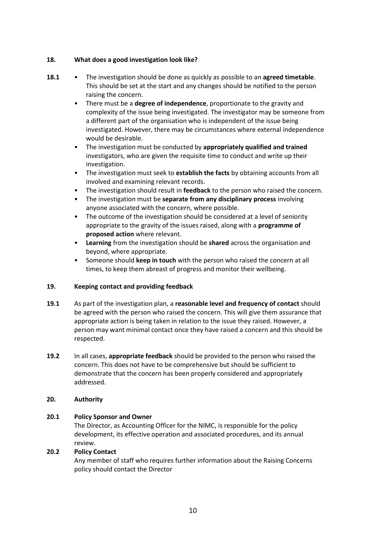## **18. What does a good investigation look like?**

- **18.1** The investigation should be done as quickly as possible to an **agreed timetable**. This should be set at the start and any changes should be notified to the person raising the concern.
	- There must be a **degree of independence**, proportionate to the gravity and complexity of the issue being investigated. The investigator may be someone from a different part of the organisation who is independent of the issue being investigated. However, there may be circumstances where external independence would be desirable.
	- The investigation must be conducted by **appropriately qualified and trained**  investigators, who are given the requisite time to conduct and write up their investigation.
	- The investigation must seek to **establish the facts** by obtaining accounts from all involved and examining relevant records.
	- The investigation should result in **feedback** to the person who raised the concern.
	- The investigation must be **separate from any disciplinary process** involving anyone associated with the concern, where possible.
	- The outcome of the investigation should be considered at a level of seniority appropriate to the gravity of the issues raised, along with a **programme of proposed action** where relevant.
	- **Learning** from the investigation should be **shared** across the organisation and beyond, where appropriate.
	- Someone should **keep in touch** with the person who raised the concern at all times, to keep them abreast of progress and monitor their wellbeing.

## **19. Keeping contact and providing feedback**

- **19.1** As part of the investigation plan, a **reasonable level and frequency of contact** should be agreed with the person who raised the concern. This will give them assurance that appropriate action is being taken in relation to the issue they raised. However, a person may want minimal contact once they have raised a concern and this should be respected.
- **19.2** In all cases, **appropriate feedback** should be provided to the person who raised the concern. This does not have to be comprehensive but should be sufficient to demonstrate that the concern has been properly considered and appropriately addressed.

## **20. Authority**

## **20.1 Policy Sponsor and Owner**

The Director, as Accounting Officer for the NIMC, is responsible for the policy development, its effective operation and associated procedures, and its annual review.

## **20.2 Policy Contact**

Any member of staff who requires further information about the Raising Concerns policy should contact the Director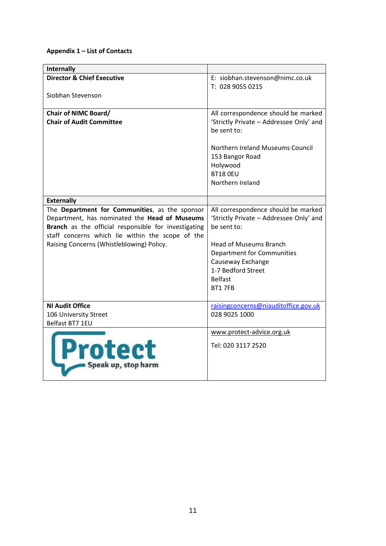## **Appendix 1 – List of Contacts**

| <b>Internally</b>                                    |                                                        |
|------------------------------------------------------|--------------------------------------------------------|
| <b>Director &amp; Chief Executive</b>                | E: siobhan.stevenson@nimc.co.uk                        |
|                                                      | T: 028 9055 0215                                       |
| Siobhan Stevenson                                    |                                                        |
| <b>Chair of NIMC Board/</b>                          | All correspondence should be marked                    |
| <b>Chair of Audit Committee</b>                      | 'Strictly Private - Addressee Only' and<br>be sent to: |
|                                                      | Northern Ireland Museums Council                       |
|                                                      | 153 Bangor Road                                        |
|                                                      | Holywood                                               |
|                                                      | BT18 OEU                                               |
|                                                      | Northern Ireland                                       |
|                                                      |                                                        |
| <b>Externally</b>                                    |                                                        |
| The Department for Communities, as the sponsor       | All correspondence should be marked                    |
| Department, has nominated the Head of Museums        | 'Strictly Private - Addressee Only' and                |
| Branch as the official responsible for investigating | be sent to:                                            |
| staff concerns which lie within the scope of the     |                                                        |
| Raising Concerns (Whistleblowing) Policy.            | <b>Head of Museums Branch</b>                          |
|                                                      | Department for Communities<br>Causeway Exchange        |
|                                                      | 1-7 Bedford Street                                     |
|                                                      | <b>Belfast</b>                                         |
|                                                      | <b>BT1 7FB</b>                                         |
|                                                      |                                                        |
| <b>NI Audit Office</b>                               | raisingconcerns@niauditoffice.gov.uk                   |
| 106 University Street                                | 028 9025 1000                                          |
| Belfast BT7 1EU                                      |                                                        |
|                                                      | www.protect-advice.org.uk                              |
| <b>Protect</b><br>Speak up, stop harm                | Tel: 020 3117 2520                                     |